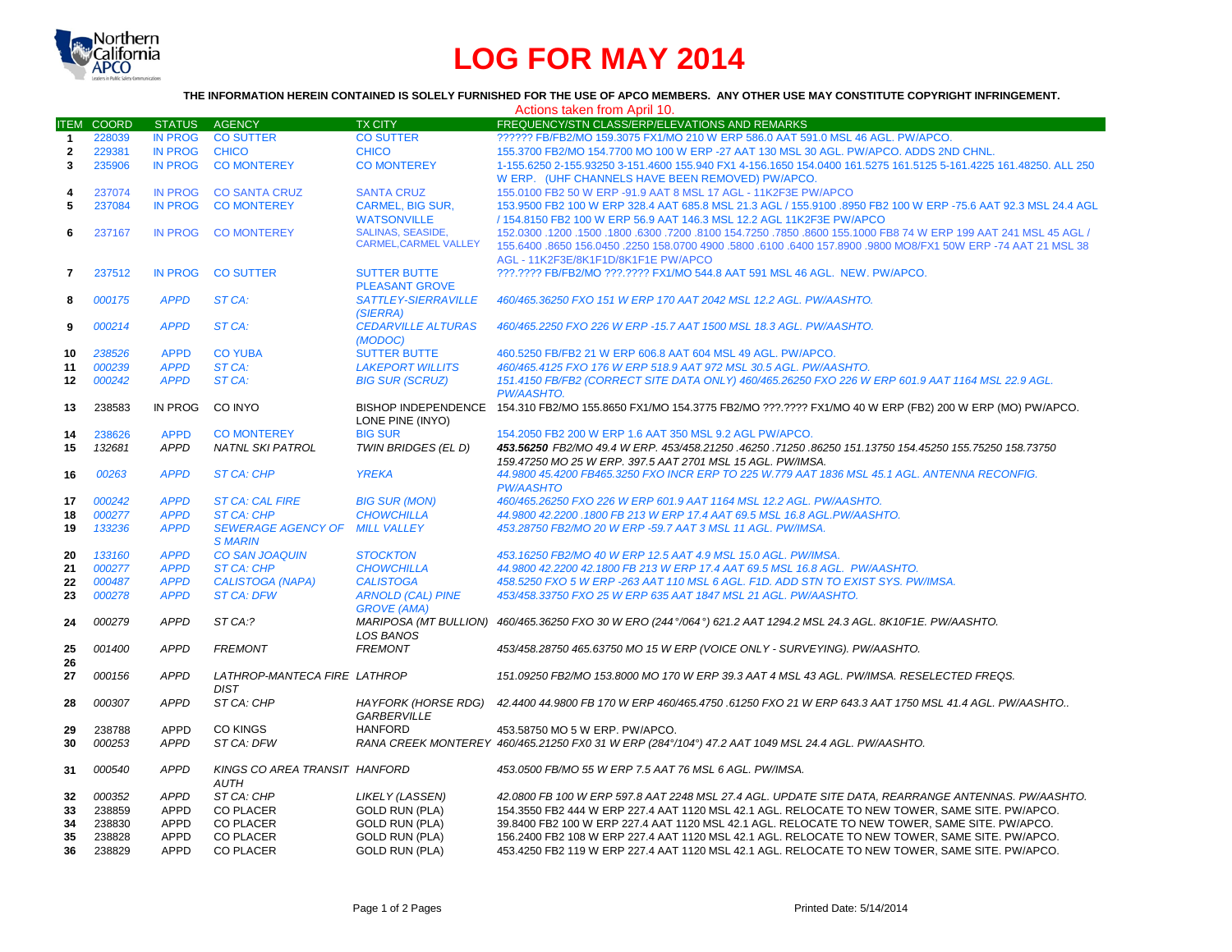

## **LOG FOR MAY 2014**

## **THE INFORMATION HEREIN CONTAINED IS SOLELY FURNISHED FOR THE USE OF APCO MEMBERS. ANY OTHER USE MAY CONSTITUTE COPYRIGHT INFRINGEMENT.**

|                |              |                |                               |                              | Actions taken from April 10.                                                                                              |
|----------------|--------------|----------------|-------------------------------|------------------------------|---------------------------------------------------------------------------------------------------------------------------|
| <b>ITEM</b>    | <b>COORD</b> | <b>STATUS</b>  | AGENCY                        | TX CITY                      | FREQUENCY/STN CLASS/ERP/ELEVATIONS AND REMARKS                                                                            |
| $\mathbf{1}$   | 228039       | <b>IN PROG</b> | <b>CO SUTTER</b>              | <b>CO SUTTER</b>             | ?????? FB/FB2/MO 159.3075 FX1/MO 210 W ERP 586.0 AAT 591.0 MSL 46 AGL. PW/APCO.                                           |
| $\overline{2}$ | 229381       | <b>IN PROG</b> | <b>CHICO</b>                  | <b>CHICO</b>                 | 155.3700 FB2/MO 154.7700 MO 100 W ERP -27 AAT 130 MSL 30 AGL, PW/APCO, ADDS 2ND CHNL.                                     |
| 3              | 235906       | <b>IN PROG</b> | <b>CO MONTEREY</b>            | <b>CO MONTEREY</b>           | 1-155.6250 2-155.93250 3-151.4600 155.940 FX1 4-156.1650 154.0400 161.5275 161.5125 5-161.4225 161.48250. ALL 250         |
|                |              |                |                               |                              | W ERP. (UHF CHANNELS HAVE BEEN REMOVED) PW/APCO.                                                                          |
| 4              | 237074       | <b>IN PROG</b> | <b>CO SANTA CRUZ</b>          | <b>SANTA CRUZ</b>            | 155.0100 FB2 50 W ERP -91.9 AAT 8 MSL 17 AGL - 11K2F3E PW/APCO                                                            |
| 5              | 237084       | <b>IN PROG</b> | <b>CO MONTEREY</b>            | <b>CARMEL, BIG SUR,</b>      | 153.9500 FB2 100 W ERP 328.4 AAT 685.8 MSL 21.3 AGL / 155.9100 .8950 FB2 100 W ERP -75.6 AAT 92.3 MSL 24.4 AGL            |
|                |              |                |                               | <b>WATSONVILLE</b>           | / 154.8150 FB2 100 W ERP 56.9 AAT 146.3 MSL 12.2 AGL 11K2F3E PW/APCO                                                      |
|                |              |                |                               | <b>SALINAS, SEASIDE.</b>     |                                                                                                                           |
| 6              | 237167       | <b>IN PROG</b> | <b>CO MONTEREY</b>            | <b>CARMEL, CARMEL VALLEY</b> | 152.0300 AAT 241 MSL 45 AGL / 3300 .6300 .8100 154.7250 .7850 .8600 155.1000 FB8 74 W ERP 199 AAT 241 MSL 45 AGL          |
|                |              |                |                               |                              | 155.6400 .8650 156.0450 .2250 158.0700 4900 .5800 .6100 .6400 157.8900 .9800 MO8/FX1 50W ERP -74 AAT 21 MSL 38            |
|                |              |                |                               |                              | AGL - 11K2F3E/8K1F1D/8K1F1E PW/APCO                                                                                       |
| 7              | 237512       | <b>IN PROG</b> | <b>CO SUTTER</b>              | <b>SUTTER BUTTE</b>          | ???.???? FB/FB2/MO ???.???? FX1/MO 544.8 AAT 591 MSL 46 AGL. NEW. PW/APCO.                                                |
|                |              |                |                               | <b>PLEASANT GROVE</b>        |                                                                                                                           |
| 8              | 000175       | <b>APPD</b>    | ST CA:                        | <b>SATTLEY-SIERRAVILLE</b>   | 460/465.36250 FXO 151 W ERP 170 AAT 2042 MSL 12.2 AGL. PW/AASHTO.                                                         |
|                |              |                |                               | (SIERRA)                     |                                                                                                                           |
| 9              | 000214       | <b>APPD</b>    | ST CA:                        | <b>CEDARVILLE ALTURAS</b>    | 460/465.2250 FXO 226 W ERP -15.7 AAT 1500 MSL 18.3 AGL. PW/AASHTO.                                                        |
|                |              |                |                               | (MODOC)                      |                                                                                                                           |
| 10             | 238526       | <b>APPD</b>    | <b>CO YUBA</b>                | <b>SUTTER BUTTE</b>          | 460.5250 FB/FB2 21 W ERP 606.8 AAT 604 MSL 49 AGL, PW/APCO.                                                               |
| 11             | 000239       | <b>APPD</b>    | ST CA:                        | <b>LAKEPORT WILLITS</b>      | 460/465.4125 FXO 176 W ERP 518.9 AAT 972 MSL 30.5 AGL. PW/AASHTO.                                                         |
| 12             | 000242       | <b>APPD</b>    | ST CA:                        | <b>BIG SUR (SCRUZ)</b>       | 151.4150 FB/FB2 (CORRECT SITE DATA ONLY) 460/465.26250 FXO 226 W ERP 601.9 AAT 1164 MSL 22.9 AGL.                         |
|                |              |                |                               |                              | <b>PW/AASHTO.</b>                                                                                                         |
| 13             | 238583       | IN PROG        | CO INYO                       |                              | BISHOP INDEPENDENCE 154.310 FB2/MO 155.8650 FX1/MO 154.3775 FB2/MO ???.???? FX1/MO 40 W ERP (FB2) 200 W ERP (MO) PW/APCO. |
|                |              |                |                               | LONE PINE (INYO)             |                                                                                                                           |
| 14             | 238626       | <b>APPD</b>    | <b>CO MONTEREY</b>            | <b>BIG SUR</b>               | 154.2050 FB2 200 W ERP 1.6 AAT 350 MSL 9.2 AGL PW/APCO.                                                                   |
| 15             | 132681       | <b>APPD</b>    | <b>NATNL SKI PATROL</b>       | TWIN BRIDGES (EL D)          | 453.56250 FB2/MO 49.4 W ERP. 453/458.21250 .46250 .71250 .86250 151.13750 154.45250 155.75250 158.73750                   |
|                |              |                |                               |                              | 159.47250 MO 25 W ERP. 397.5 AAT 2701 MSL 15 AGL. PW/IMSA.                                                                |
| 16             | 00263        | <b>APPD</b>    | <b>ST CA: CHP</b>             | <b>YREKA</b>                 | 44.9800 45.4200 FB465.3250 FXO INCR ERP TO 225 W.779 AAT 1836 MSL 45.1 AGL. ANTENNA RECONFIG.                             |
|                |              |                |                               |                              | <b>PW/AASHTO</b>                                                                                                          |
|                | 000242       | <b>APPD</b>    |                               |                              |                                                                                                                           |
| 17             |              |                | <b>ST CA: CAL FIRE</b>        | <b>BIG SUR (MON)</b>         | 460/465.26250 FXO 226 W ERP 601.9 AAT 1164 MSL 12.2 AGL, PW/AASHTO.                                                       |
| 18             | 000277       | <b>APPD</b>    | <b>ST CA: CHP</b>             | <b>CHOWCHILLA</b>            | 44.9800 42.2200 .1800 FB 213 W ERP 17.4 AAT 69.5 MSL 16.8 AGL.PW/AASHTO.                                                  |
| 19             | 133236       | <b>APPD</b>    | <b>SEWERAGE AGENCY OF</b>     | <b>MILL VALLEY</b>           | 453.28750 FB2/MO 20 W ERP -59.7 AAT 3 MSL 11 AGL. PW/IMSA.                                                                |
|                |              |                | <b>SMARIN</b>                 |                              |                                                                                                                           |
| 20             | 133160       | <b>APPD</b>    | <b>CO SAN JOAQUIN</b>         | <b>STOCKTON</b>              | 453.16250 FB2/MO 40 W ERP 12.5 AAT 4.9 MSL 15.0 AGL. PW/IMSA.                                                             |
| 21             | 000277       | <b>APPD</b>    | <b>ST CA: CHP</b>             | <b>CHOWCHILLA</b>            | 44.9800 42.2200 42.1800 FB 213 W ERP 17.4 AAT 69.5 MSL 16.8 AGL. PW/AASHTO.                                               |
| 22             | 000487       | <b>APPD</b>    | CALISTOGA (NAPA)              | <b>CALISTOGA</b>             | 458.5250 FXO 5 W ERP -263 AAT 110 MSL 6 AGL. F1D. ADD STN TO EXIST SYS. PW/IMSA.                                          |
| 23             | 000278       | <b>APPD</b>    | <b>ST CA: DFW</b>             | <b>ARNOLD (CAL) PINE</b>     | 453/458.33750 FXO 25 W ERP 635 AAT 1847 MSL 21 AGL. PW/AASHTO.                                                            |
|                |              |                |                               | <b>GROVE (AMA)</b>           |                                                                                                                           |
| 24             | 000279       | <b>APPD</b>    | ST CA:?                       |                              | MARIPOSA (MT BULLION) 460/465.36250 FXO 30 W ERO (244°/064°) 621.2 AAT 1294.2 MSL 24.3 AGL. 8K10F1E. PW/AASHTO.           |
|                |              |                |                               | <b>LOS BANOS</b>             |                                                                                                                           |
| 25             | 001400       | <b>APPD</b>    | <b>FREMONT</b>                | <b>FREMONT</b>               | 453/458.28750 465.63750 MO 15 W ERP (VOICE ONLY - SURVEYING). PW/AASHTO.                                                  |
| 26             |              |                |                               |                              |                                                                                                                           |
| 27             | 000156       | <b>APPD</b>    | LATHROP-MANTECA FIRE LATHROP  |                              | 151.09250 FB2/MO 153.8000 MO 170 W ERP 39.3 AAT 4 MSL 43 AGL, PW/IMSA, RESELECTED FREOS.                                  |
|                |              |                | <b>DIST</b>                   |                              |                                                                                                                           |
| 28             | 000307       | <b>APPD</b>    | ST CA: CHP                    | HAYFORK (HORSE RDG)          | 42.4400 44.9800 FB 170 W ERP 460/465.4750 .61250 FXO 21 W ERP 643.3 AAT 1750 MSL 41.4 AGL. PW/AASHTO                      |
|                |              |                |                               | GARBERVILLE                  |                                                                                                                           |
| 29             | 238788       | <b>APPD</b>    | <b>CO KINGS</b>               | <b>HANFORD</b>               | 453.58750 MO 5 W ERP. PW/APCO.                                                                                            |
| 30             | 000253       | <b>APPD</b>    | ST CA: DFW                    |                              | RANA CREEK MONTEREY 460/465.21250 FX0 31 W ERP (284°/104°) 47.2 AAT 1049 MSL 24.4 AGL. PW/AASHTO.                         |
|                |              |                |                               |                              |                                                                                                                           |
| 31             | 000540       | <b>APPD</b>    | KINGS CO AREA TRANSIT HANFORD |                              | 453.0500 FB/MO 55 W ERP 7.5 AAT 76 MSL 6 AGL. PW/IMSA.                                                                    |
|                |              |                | <b>AUTH</b>                   |                              |                                                                                                                           |
| 32             | 000352       | <b>APPD</b>    | ST CA: CHP                    | <b>LIKELY (LASSEN)</b>       | 42.0800 FB 100 W ERP 597.8 AAT 2248 MSL 27.4 AGL. UPDATE SITE DATA, REARRANGE ANTENNAS. PW/AASHTO.                        |
| 33             | 238859       | <b>APPD</b>    | <b>CO PLACER</b>              | <b>GOLD RUN (PLA)</b>        | 154.3550 FB2 444 W ERP 227.4 AAT 1120 MSL 42.1 AGL. RELOCATE TO NEW TOWER, SAME SITE. PW/APCO.                            |
| 34             | 238830       | <b>APPD</b>    | <b>CO PLACER</b>              | <b>GOLD RUN (PLA)</b>        | 39.8400 FB2 100 W ERP 227.4 AAT 1120 MSL 42.1 AGL. RELOCATE TO NEW TOWER, SAME SITE. PW/APCO.                             |
| 35             | 238828       | <b>APPD</b>    | <b>CO PLACER</b>              | <b>GOLD RUN (PLA)</b>        | 156.2400 FB2 108 W ERP 227.4 AAT 1120 MSL 42.1 AGL. RELOCATE TO NEW TOWER, SAME SITE. PW/APCO.                            |
| 36             | 238829       | <b>APPD</b>    | <b>CO PLACER</b>              | <b>GOLD RUN (PLA)</b>        | 453.4250 FB2 119 W ERP 227.4 AAT 1120 MSL 42.1 AGL. RELOCATE TO NEW TOWER, SAME SITE. PW/APCO.                            |
|                |              |                |                               |                              |                                                                                                                           |